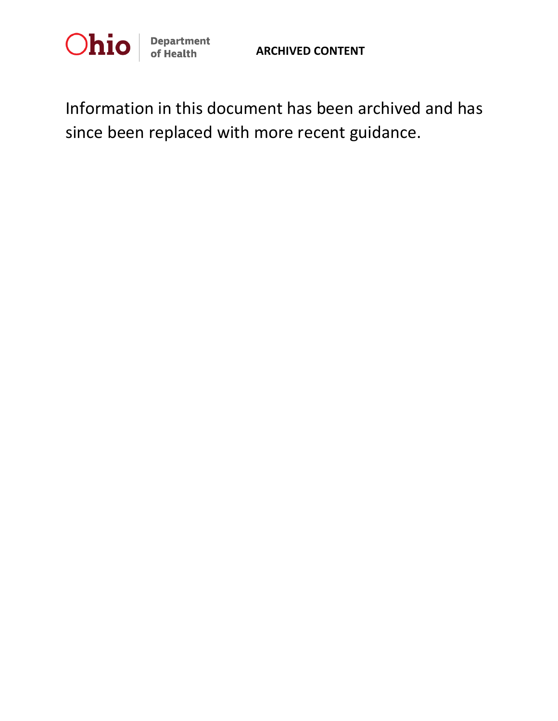

Information in this document has been archived and has since been replaced with more recent guidance.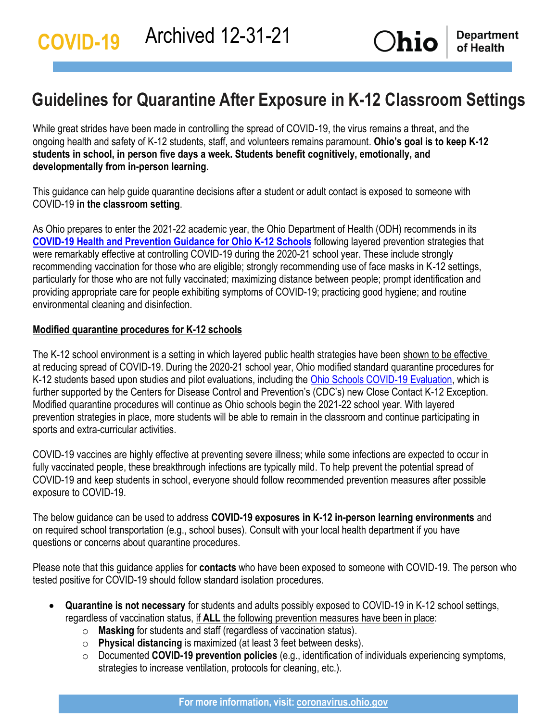## **Guidelines for Quarantine After Exposure in K-12 Classroom Settings**

While great strides have been made in controlling the spread of COVID-19, the virus remains a threat, and the ongoing health and safety of K-12 students, staff, and volunteers remains paramount. **Ohio's goal is to keep K-12 students in school, in person five days a week. Students benefit cognitively, emotionally, and developmentally from in-person learning.**

This guidance can help guide quarantine decisions after a student or adult contact is exposed to someone with COVID-19 **in the classroom setting**.

As Ohio prepares to enter the 2021-22 academic year, the Ohio Department of Health (ODH) recommends in its **[COVID-19 Health and Prevention Guidance for Ohio K-12 Schools](https://coronavirus.ohio.gov/static/responsible/schools/K-12-Schools-Guidance.pdf)** following layered prevention strategies that were remarkably effective at controlling COVID-19 during the 2020-21 school year. These include strongly recommending vaccination for those who are eligible; strongly recommending use of face masks in K-12 settings, particularly for those who are not fully vaccinated; maximizing distance between people; prompt identification and providing appropriate care for people exhibiting symptoms of COVID-19; practicing good hygiene; and routine environmental cleaning and disinfection.

## **Modified quarantine procedures for K-12 schools**

The K-12 school environment is a setting in which layered public health strategies have been shown to be effective at reducing spread of COVID-19. During the 2020-21 school year, Ohio modified standard quarantine procedures for K-12 students based upon studies and pilot evaluations, including the [Ohio Schools COVID-19 Evaluation,](https://coronavirus.ohio.gov/static/responsible/schools/OSCE_evaluation.pdf) which is further supported by the Centers for Disease Control and Prevention's (CDC's) new Close Contact K-12 Exception. Modified quarantine procedures will continue as Ohio schools begin the 2021-22 school year. With layered prevention strategies in place, more students will be able to remain in the classroom and continue participating in sports and extra-curricular activities.

COVID-19 vaccines are highly effective at preventing severe illness; while some infections are expected to occur in fully vaccinated people, these breakthrough infections are typically mild. To help prevent the potential spread of COVID-19 and keep students in school, everyone should follow recommended prevention measures after possible exposure to COVID-19.

The below guidance can be used to address **COVID-19 exposures in K-12 in-person learning environments** and on required school transportation (e.g., school buses). Consult with your local health department if you have questions or concerns about quarantine procedures.

Please note that this guidance applies for **contacts** who have been exposed to someone with COVID-19. The person who tested positive for COVID-19 should follow standard isolation procedures.

- **Quarantine is not necessary** for students and adults possibly exposed to COVID-19 in K-12 school settings, regardless of vaccination status, if **ALL** the following prevention measures have been in place:
	- o **Masking** for students and staff (regardless of vaccination status).
	- o **Physical distancing** is maximized (at least 3 feet between desks).
	- o Documented **COVID-19 prevention policies** (e.g., identification of individuals experiencing symptoms, strategies to increase ventilation, protocols for cleaning, etc.).